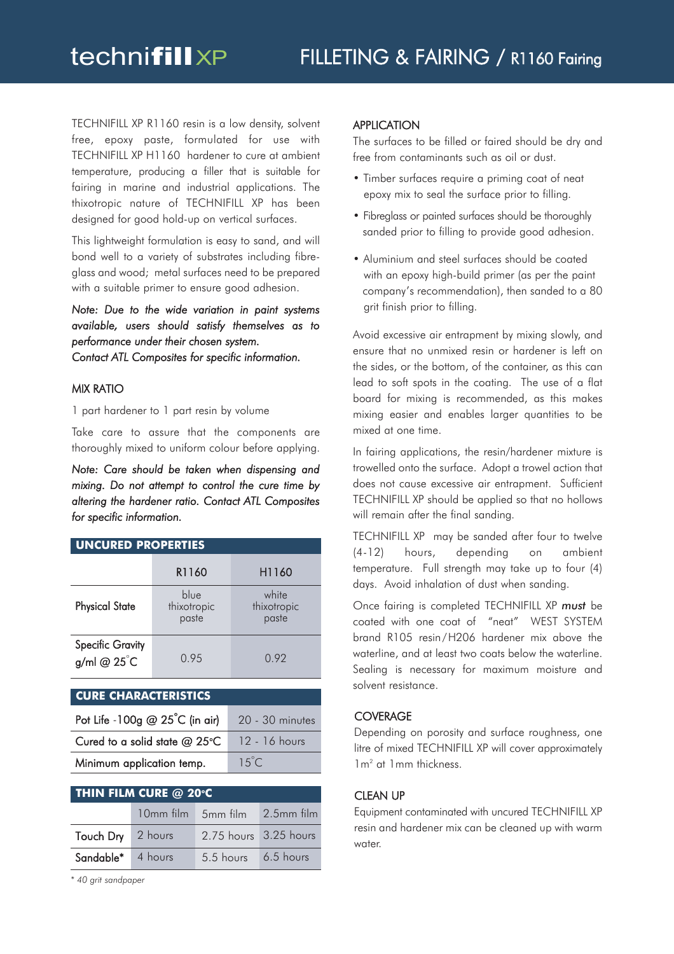TECHNIFILL XP R1160 resin is a low density, solvent free, epoxy paste, formulated for use with TECHNIFILL XP H1160 hardener to cure at ambient temperature, producing a filler that is suitable for fairing in marine and industrial applications. The thixotropic nature of TECHNIFILL XP has been designed for good hold-up on vertical surfaces.

This lightweight formulation is easy to sand, and will bond well to a variety of substrates including fibreglass and wood; metal surfaces need to be prepared with a suitable primer to ensure good adhesion.

*Note: Due to the wide variation in paint systems available, users should satisfy themselves as to performance under their chosen system. Contact ATL Composites for specific information.*

## MIX RATIO

1 part hardener to 1 part resin by volume

Take care to assure that the components are thoroughly mixed to uniform colour before applying.

*Note: Care should be taken when dispensing and mixing. Do not attempt to control the cure time by altering the hardener ratio. Contact ATL Composites for specific information.*

| <b>UNCURED PROPERTIES</b>              |                              |                               |  |  |  |  |  |
|----------------------------------------|------------------------------|-------------------------------|--|--|--|--|--|
|                                        | R1160                        | H1160                         |  |  |  |  |  |
| <b>Physical State</b>                  | blue<br>thixotropic<br>paste | white<br>thixotropic<br>paste |  |  |  |  |  |
| <b>Specific Gravity</b><br>g/ml @ 25°C | 0.95                         | 0.92                          |  |  |  |  |  |

#### **CURE CHARACTERISTICS**

| Pot Life -100g $@25^{\circ}C$ (in air)      | 20 - 30 minutes |
|---------------------------------------------|-----------------|
| Cured to a solid state @ 25°C 12 - 16 hours |                 |
| Minimum application temp.                   | $15^{\circ}$ C  |

| <b>THIN FILM CURE <math>@</math> 20°C</b> |  |                               |  |  |  |  |  |
|-------------------------------------------|--|-------------------------------|--|--|--|--|--|
|                                           |  | 10mm film 5mm film 2.5mm film |  |  |  |  |  |
| Touch Dry 2 hours                         |  | 2.75 hours 3.25 hours         |  |  |  |  |  |
| Sandable* 4 hours                         |  | 5.5 hours 6.5 hours           |  |  |  |  |  |

*\* 40 grit sandpaper*

## **APPLICATION**

The surfaces to be filled or faired should be dry and free from contaminants such as oil or dust.

- Timber surfaces require a priming coat of neat epoxy mix to seal the surface prior to filling.
- Fibreglass or painted surfaces should be thoroughly sanded prior to filling to provide good adhesion.
- Aluminium and steel surfaces should be coated with an epoxy high-build primer (as per the paint company's recommendation), then sanded to a 80 grit finish prior to filling.

Avoid excessive air entrapment by mixing slowly, and ensure that no unmixed resin or hardener is left on the sides, or the bottom, of the container, as this can lead to soft spots in the coating. The use of a flat board for mixing is recommended, as this makes mixing easier and enables larger quantities to be mixed at one time.

In fairing applications, the resin/hardener mixture is trowelled onto the surface. Adopt a trowel action that does not cause excessive air entrapment. Sufficient TECHNIFILL XP should be applied so that no hollows will remain after the final sanding.

TECHNIFILL XP may be sanded after four to twelve (4-12) hours, depending on ambient temperature. Full strength may take up to four (4) days. Avoid inhalation of dust when sanding.

Once fairing is completed TECHNIFILL XP *must* be coated with one coat of "neat" WEST SYSTEM brand R105 resin/H206 hardener mix above the waterline, and at least two coats below the waterline. Sealing is necessary for maximum moisture and solvent resistance.

## **COVERAGE**

Depending on porosity and surface roughness, one litre of mixed TECHNIFILL XP will cover approximately 1m2 at 1mm thickness.

## CLEAN UP

Equipment contaminated with uncured TECHNIFILL XP resin and hardener mix can be cleaned up with warm water.